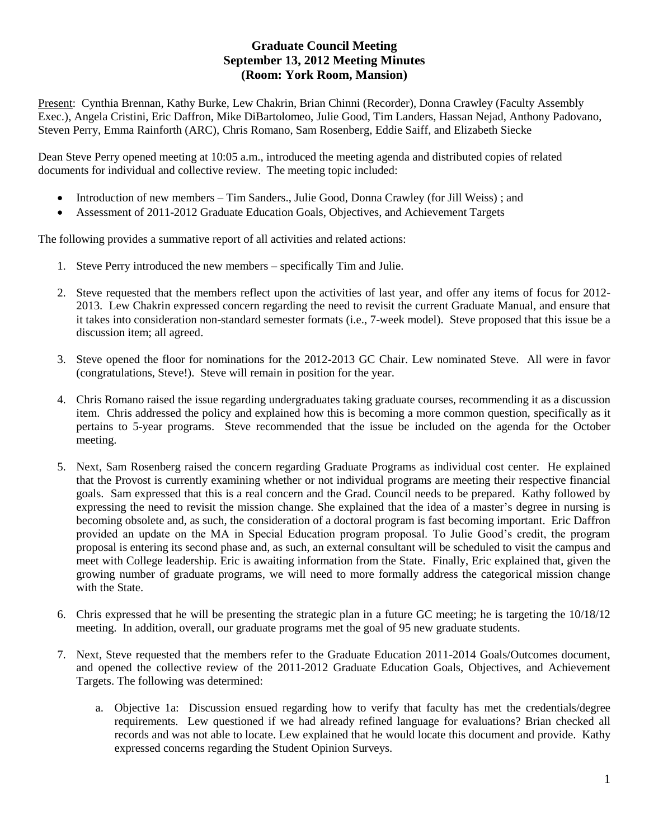## **Graduate Council Meeting September 13, 2012 Meeting Minutes (Room: York Room, Mansion)**

Present: Cynthia Brennan, Kathy Burke, Lew Chakrin, Brian Chinni (Recorder), Donna Crawley (Faculty Assembly Exec.), Angela Cristini, Eric Daffron, Mike DiBartolomeo, Julie Good, Tim Landers, Hassan Nejad, Anthony Padovano, Steven Perry, Emma Rainforth (ARC), Chris Romano, Sam Rosenberg, Eddie Saiff, and Elizabeth Siecke

Dean Steve Perry opened meeting at 10:05 a.m., introduced the meeting agenda and distributed copies of related documents for individual and collective review. The meeting topic included:

- Introduction of new members Tim Sanders., Julie Good, Donna Crawley (for Jill Weiss) ; and
- Assessment of 2011-2012 Graduate Education Goals, Objectives, and Achievement Targets

The following provides a summative report of all activities and related actions:

- 1. Steve Perry introduced the new members specifically Tim and Julie.
- 2. Steve requested that the members reflect upon the activities of last year, and offer any items of focus for 2012- 2013. Lew Chakrin expressed concern regarding the need to revisit the current Graduate Manual, and ensure that it takes into consideration non-standard semester formats (i.e., 7-week model). Steve proposed that this issue be a discussion item; all agreed.
- 3. Steve opened the floor for nominations for the 2012-2013 GC Chair. Lew nominated Steve. All were in favor (congratulations, Steve!). Steve will remain in position for the year.
- 4. Chris Romano raised the issue regarding undergraduates taking graduate courses, recommending it as a discussion item. Chris addressed the policy and explained how this is becoming a more common question, specifically as it pertains to 5-year programs. Steve recommended that the issue be included on the agenda for the October meeting.
- 5. Next, Sam Rosenberg raised the concern regarding Graduate Programs as individual cost center. He explained that the Provost is currently examining whether or not individual programs are meeting their respective financial goals. Sam expressed that this is a real concern and the Grad. Council needs to be prepared. Kathy followed by expressing the need to revisit the mission change. She explained that the idea of a master's degree in nursing is becoming obsolete and, as such, the consideration of a doctoral program is fast becoming important. Eric Daffron provided an update on the MA in Special Education program proposal. To Julie Good's credit, the program proposal is entering its second phase and, as such, an external consultant will be scheduled to visit the campus and meet with College leadership. Eric is awaiting information from the State. Finally, Eric explained that, given the growing number of graduate programs, we will need to more formally address the categorical mission change with the State.
- 6. Chris expressed that he will be presenting the strategic plan in a future GC meeting; he is targeting the 10/18/12 meeting. In addition, overall, our graduate programs met the goal of 95 new graduate students.
- 7. Next, Steve requested that the members refer to the Graduate Education 2011-2014 Goals/Outcomes document, and opened the collective review of the 2011-2012 Graduate Education Goals, Objectives, and Achievement Targets. The following was determined:
	- a. Objective 1a: Discussion ensued regarding how to verify that faculty has met the credentials/degree requirements. Lew questioned if we had already refined language for evaluations? Brian checked all records and was not able to locate. Lew explained that he would locate this document and provide. Kathy expressed concerns regarding the Student Opinion Surveys.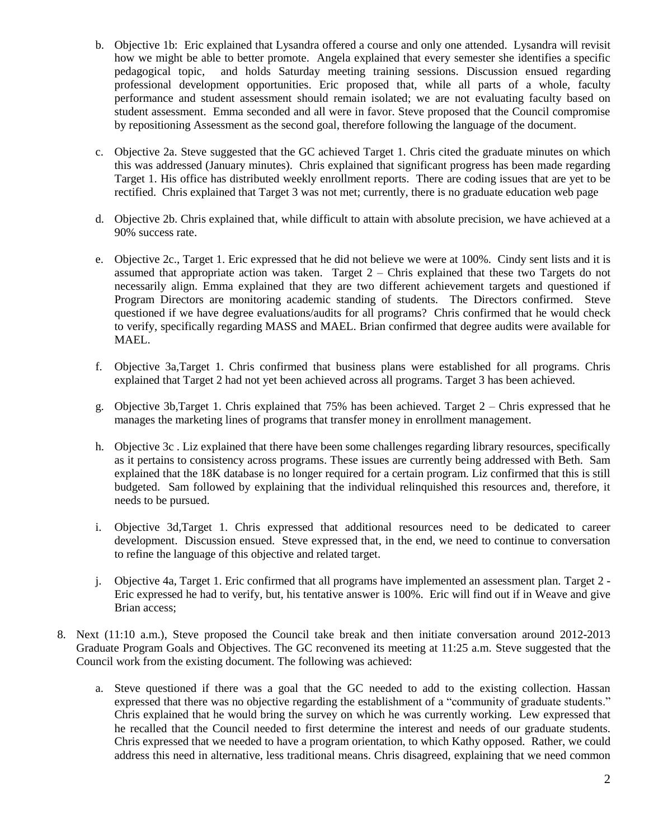- b. Objective 1b: Eric explained that Lysandra offered a course and only one attended. Lysandra will revisit how we might be able to better promote. Angela explained that every semester she identifies a specific pedagogical topic, and holds Saturday meeting training sessions. Discussion ensued regarding professional development opportunities. Eric proposed that, while all parts of a whole, faculty performance and student assessment should remain isolated; we are not evaluating faculty based on student assessment. Emma seconded and all were in favor. Steve proposed that the Council compromise by repositioning Assessment as the second goal, therefore following the language of the document.
- c. Objective 2a. Steve suggested that the GC achieved Target 1. Chris cited the graduate minutes on which this was addressed (January minutes). Chris explained that significant progress has been made regarding Target 1. His office has distributed weekly enrollment reports. There are coding issues that are yet to be rectified. Chris explained that Target 3 was not met; currently, there is no graduate education web page
- d. Objective 2b. Chris explained that, while difficult to attain with absolute precision, we have achieved at a 90% success rate.
- e. Objective 2c., Target 1. Eric expressed that he did not believe we were at 100%. Cindy sent lists and it is assumed that appropriate action was taken. Target  $2 -$ Chris explained that these two Targets do not necessarily align. Emma explained that they are two different achievement targets and questioned if Program Directors are monitoring academic standing of students. The Directors confirmed. Steve questioned if we have degree evaluations/audits for all programs? Chris confirmed that he would check to verify, specifically regarding MASS and MAEL. Brian confirmed that degree audits were available for MAEL.
- f. Objective 3a,Target 1. Chris confirmed that business plans were established for all programs. Chris explained that Target 2 had not yet been achieved across all programs. Target 3 has been achieved.
- g. Objective 3b,Target 1. Chris explained that 75% has been achieved. Target 2 Chris expressed that he manages the marketing lines of programs that transfer money in enrollment management.
- h. Objective 3c . Liz explained that there have been some challenges regarding library resources, specifically as it pertains to consistency across programs. These issues are currently being addressed with Beth. Sam explained that the 18K database is no longer required for a certain program. Liz confirmed that this is still budgeted. Sam followed by explaining that the individual relinquished this resources and, therefore, it needs to be pursued.
- i. Objective 3d,Target 1. Chris expressed that additional resources need to be dedicated to career development. Discussion ensued. Steve expressed that, in the end, we need to continue to conversation to refine the language of this objective and related target.
- j. Objective 4a, Target 1. Eric confirmed that all programs have implemented an assessment plan. Target 2 Eric expressed he had to verify, but, his tentative answer is 100%. Eric will find out if in Weave and give Brian access;
- 8. Next (11:10 a.m.), Steve proposed the Council take break and then initiate conversation around 2012-2013 Graduate Program Goals and Objectives. The GC reconvened its meeting at 11:25 a.m. Steve suggested that the Council work from the existing document. The following was achieved:
	- a. Steve questioned if there was a goal that the GC needed to add to the existing collection. Hassan expressed that there was no objective regarding the establishment of a "community of graduate students." Chris explained that he would bring the survey on which he was currently working. Lew expressed that he recalled that the Council needed to first determine the interest and needs of our graduate students. Chris expressed that we needed to have a program orientation, to which Kathy opposed. Rather, we could address this need in alternative, less traditional means. Chris disagreed, explaining that we need common